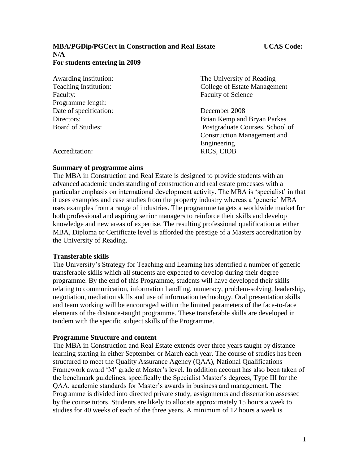### **MBA/PGDip/PGCert in Construction and Real Estate UCAS Code: N/A For students entering in 2009**

| <b>Awarding Institution:</b> | The University of Reading          |
|------------------------------|------------------------------------|
| Teaching Institution:        | College of Estate Management       |
| Faculty:                     | <b>Faculty of Science</b>          |
| Programme length:            |                                    |
| Date of specification:       | December 2008                      |
| Directors:                   | Brian Kemp and Bryan Parkes        |
| <b>Board of Studies:</b>     | Postgraduate Courses, School of    |
|                              | <b>Construction Management and</b> |
|                              | Engineering                        |
| Accreditation:               | RICS, CIOB                         |

## **Summary of programme aims**

The MBA in Construction and Real Estate is designed to provide students with an advanced academic understanding of construction and real estate processes with a particular emphasis on international development activity. The MBA is 'specialist' in that it uses examples and case studies from the property industry whereas a 'generic' MBA uses examples from a range of industries. The programme targets a worldwide market for both professional and aspiring senior managers to reinforce their skills and develop knowledge and new areas of expertise. The resulting professional qualification at either MBA, Diploma or Certificate level is afforded the prestige of a Masters accreditation by the University of Reading.

## **Transferable skills**

The University's Strategy for Teaching and Learning has identified a number of generic transferable skills which all students are expected to develop during their degree programme. By the end of this Programme, students will have developed their skills relating to communication, information handling, numeracy, problem-solving, leadership, negotiation, mediation skills and use of information technology. Oral presentation skills and team working will be encouraged within the limited parameters of the face-to-face elements of the distance-taught programme. These transferable skills are developed in tandem with the specific subject skills of the Programme.

## **Programme Structure and content**

The MBA in Construction and Real Estate extends over three years taught by distance learning starting in either September or March each year. The course of studies has been structured to meet the Quality Assurance Agency (QAA), National Qualifications Framework award 'M' grade at Master's level. In addition account has also been taken of the benchmark guidelines, specifically the Specialist Master's degrees, Type III for the QAA, academic standards for Master's awards in business and management. The Programme is divided into directed private study, assignments and dissertation assessed by the course tutors. Students are likely to allocate approximately 15 hours a week to studies for 40 weeks of each of the three years. A minimum of 12 hours a week is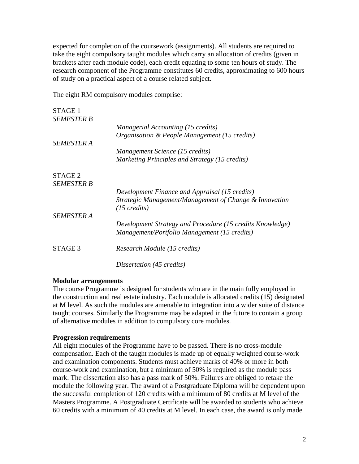expected for completion of the coursework (assignments). All students are required to take the eight compulsory taught modules which carry an allocation of credits (given in brackets after each module code), each credit equating to some ten hours of study. The research component of the Programme constitutes 60 credits, approximating to 600 hours of study on a practical aspect of a course related subject.

The eight RM compulsory modules comprise:

| STAGE 1           |                                                                                  |
|-------------------|----------------------------------------------------------------------------------|
| <b>SEMESTER B</b> |                                                                                  |
|                   | Managerial Accounting (15 credits)                                               |
|                   | <i>Organisation &amp; People Management (15 credits)</i>                         |
| <b>SEMESTER A</b> |                                                                                  |
|                   | Management Science (15 credits)                                                  |
|                   | Marketing Principles and Strategy (15 credits)                                   |
| STAGE 2           |                                                                                  |
| <b>SEMESTER B</b> |                                                                                  |
|                   | Development Finance and Appraisal (15 credits)                                   |
|                   | Strategic Management/Management of Change & Innovation<br>$(15 \text{ credits})$ |
| <b>SEMESTER A</b> |                                                                                  |
|                   | Development Strategy and Procedure (15 credits Knowledge)                        |
|                   | Management/Portfolio Management (15 credits)                                     |
| STAGE 3           | Research Module (15 credits)                                                     |
|                   | Dissertation (45 credits)                                                        |

## **Modular arrangements**

The course Programme is designed for students who are in the main fully employed in the construction and real estate industry. Each module is allocated credits (15) designated at M level. As such the modules are amenable to integration into a wider suite of distance taught courses. Similarly the Programme may be adapted in the future to contain a group of alternative modules in addition to compulsory core modules.

## **Progression requirements**

All eight modules of the Programme have to be passed. There is no cross-module compensation. Each of the taught modules is made up of equally weighted course-work and examination components. Students must achieve marks of 40% or more in both course-work and examination, but a minimum of 50% is required as the module pass mark. The dissertation also has a pass mark of 50%. Failures are obliged to retake the module the following year. The award of a Postgraduate Diploma will be dependent upon the successful completion of 120 credits with a minimum of 80 credits at M level of the Masters Programme. A Postgraduate Certificate will be awarded to students who achieve 60 credits with a minimum of 40 credits at M level. In each case, the award is only made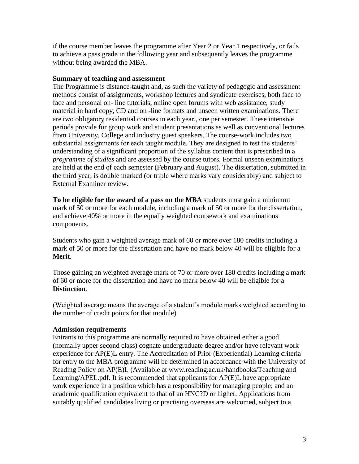if the course member leaves the programme after Year 2 or Year 1 respectively, or fails to achieve a pass grade in the following year and subsequently leaves the programme without being awarded the MBA.

## **Summary of teaching and assessment**

The Programme is distance-taught and, as such the variety of pedagogic and assessment methods consist of assignments, workshop lectures and syndicate exercises, both face to face and personal on- line tutorials, online open forums with web assistance, study material in hard copy, CD and on -line formats and unseen written examinations. There are two obligatory residential courses in each year., one per semester. These intensive periods provide for group work and student presentations as well as conventional lectures from University, College and industry guest speakers. The course-work includes two substantial assignments for each taught module. They are designed to test the students' understanding of a significant proportion of the syllabus content that is prescribed in a *programme of studies* and are assessed by the course tutors. Formal unseen examinations are held at the end of each semester (February and August). The dissertation, submitted in the third year, is double marked (or triple where marks vary considerably) and subject to External Examiner review.

**To be eligible for the award of a pass on the MBA** students must gain a minimum mark of 50 or more for each module, including a mark of 50 or more for the dissertation, and achieve 40% or more in the equally weighted coursework and examinations components.

Students who gain a weighted average mark of 60 or more over 180 credits including a mark of 50 or more for the dissertation and have no mark below 40 will be eligible for a **Merit**.

Those gaining an weighted average mark of 70 or more over 180 credits including a mark of 60 or more for the dissertation and have no mark below 40 will be eligible for a **Distinction**.

(Weighted average means the average of a student's module marks weighted according to the number of credit points for that module)

## **Admission requirements**

Entrants to this programme are normally required to have obtained either a good (normally upper second class) cognate undergraduate degree and/or have relevant work experience for AP(E)L entry. The Accreditation of Prior (Experiential) Learning criteria for entry to the MBA programme will be determined in accordance with the University of Reading Policy on AP(E)L (Available at [www.reading.ac.uk/handbooks/Teaching](http://www.reading.ac.uk/handbooks/Teaching) and Learning/APEL.pdf. It is recommended that applicants for AP(E)L have appropriate work experience in a position which has a responsibility for managing people; and an academic qualification equivalent to that of an HNC?D or higher. Applications from suitably qualified candidates living or practising overseas are welcomed, subject to a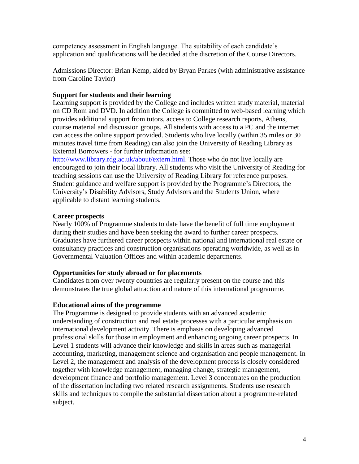competency assessment in English language. The suitability of each candidate's application and qualifications will be decided at the discretion of the Course Directors.

Admissions Director: Brian Kemp, aided by Bryan Parkes (with administrative assistance from Caroline Taylor)

## **Support for students and their learning**

Learning support is provided by the College and includes written study material, material on CD Rom and DVD. In addition the College is committed to web-based learning which provides additional support from tutors, access to College research reports, Athens, course material and discussion groups. All students with access to a PC and the internet can access the online support provided. Students who live locally (within 35 miles or 30 minutes travel time from Reading) can also join the University of Reading Library as External Borrowers - for further information see:

http://www.library.rdg.ac.uk/about/extern.html. Those who do not live locally are encouraged to join their local library. All students who visit the University of Reading for teaching sessions can use the University of Reading Library for reference purposes. Student guidance and welfare support is provided by the Programme's Directors, the University's Disability Advisors, Study Advisors and the Students Union, where applicable to distant learning students.

## **Career prospects**

Nearly 100% of Programme students to date have the benefit of full time employment during their studies and have been seeking the award to further career prospects. Graduates have furthered career prospects within national and international real estate or consultancy practices and construction organisations operating worldwide, as well as in Governmental Valuation Offices and within academic departments.

## **Opportunities for study abroad or for placements**

Candidates from over twenty countries are regularly present on the course and this demonstrates the true global attraction and nature of this international programme.

## **Educational aims of the programme**

The Programme is designed to provide students with an advanced academic understanding of construction and real estate processes with a particular emphasis on international development activity. There is emphasis on developing advanced professional skills for those in employment and enhancing ongoing career prospects. In Level 1 students will advance their knowledge and skills in areas such as managerial accounting, marketing, management science and organisation and people management. In Level 2, the management and analysis of the development process is closely considered together with knowledge management, managing change, strategic management, development finance and portfolio management. Level 3 concentrates on the production of the dissertation including two related research assignments. Students use research skills and techniques to compile the substantial dissertation about a programme-related subject.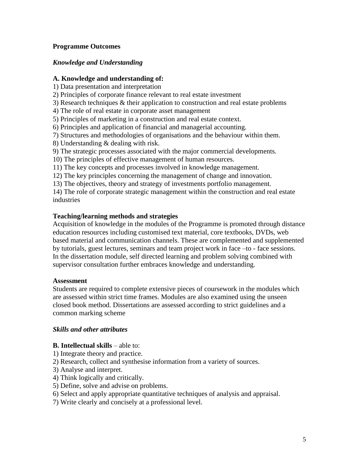## **Programme Outcomes**

## *Knowledge and Understanding*

## **A. Knowledge and understanding of:**

- 1) Data presentation and interpretation
- 2) Principles of corporate finance relevant to real estate investment
- 3) Research techniques & their application to construction and real estate problems
- 4) The role of real estate in corporate asset management
- 5) Principles of marketing in a construction and real estate context.
- 6) Principles and application of financial and managerial accounting.
- 7) Structures and methodologies of organisations and the behaviour within them.
- 8) Understanding & dealing with risk.
- 9) The strategic processes associated with the major commercial developments.
- 10) The principles of effective management of human resources.
- 11) The key concepts and processes involved in knowledge management.
- 12) The key principles concerning the management of change and innovation.
- 13) The objectives, theory and strategy of investments portfolio management.

14) The role of corporate strategic management within the construction and real estate industries

## **Teaching/learning methods and strategies**

Acquisition of knowledge in the modules of the Programme is promoted through distance education resources including customised text material, core textbooks, DVDs, web based material and communication channels. These are complemented and supplemented by tutorials, guest lectures, seminars and team project work in face –to - face sessions. In the dissertation module, self directed learning and problem solving combined with supervisor consultation further embraces knowledge and understanding.

## **Assessment**

Students are required to complete extensive pieces of coursework in the modules which are assessed within strict time frames. Modules are also examined using the unseen closed book method. Dissertations are assessed according to strict guidelines and a common marking scheme

## *Skills and other attributes*

## **B.** Intellectual skills – able to:

- 1) Integrate theory and practice.
- 2) Research, collect and synthesise information from a variety of sources.
- 3) Analyse and interpret.
- 4) Think logically and critically.
- 5) Define, solve and advise on problems.
- 6) Select and apply appropriate quantitative techniques of analysis and appraisal.
- 7) Write clearly and concisely at a professional level.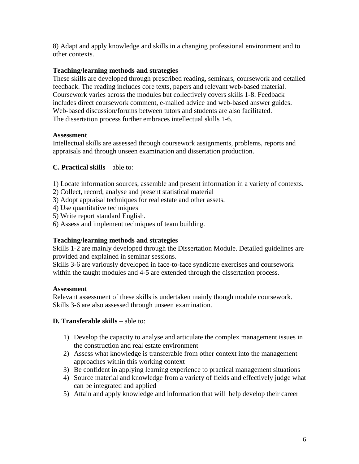8) Adapt and apply knowledge and skills in a changing professional environment and to other contexts.

# **Teaching/learning methods and strategies**

These skills are developed through prescribed reading, seminars, coursework and detailed feedback. The reading includes core texts, papers and relevant web-based material. Coursework varies across the modules but collectively covers skills 1-8. Feedback includes direct coursework comment, e-mailed advice and web-based answer guides. Web-based discussion/forums between tutors and students are also facilitated. The dissertation process further embraces intellectual skills 1-6.

## **Assessment**

Intellectual skills are assessed through coursework assignments, problems, reports and appraisals and through unseen examination and dissertation production.

## **C. Practical skills** – able to:

1) Locate information sources, assemble and present information in a variety of contexts.

- 2) Collect, record, analyse and present statistical material
- 3) Adopt appraisal techniques for real estate and other assets.
- 4) Use quantitative techniques
- 5) Write report standard English.
- 6) Assess and implement techniques of team building.

## **Teaching/learning methods and strategies**

Skills 1-2 are mainly developed through the Dissertation Module. Detailed guidelines are provided and explained in seminar sessions.

Skills 3-6 are variously developed in face-to-face syndicate exercises and coursework within the taught modules and 4-5 are extended through the dissertation process.

## **Assessment**

Relevant assessment of these skills is undertaken mainly though module coursework. Skills 3-6 are also assessed through unseen examination.

## **D. Transferable skills – able to:**

- 1) Develop the capacity to analyse and articulate the complex management issues in the construction and real estate environment
- 2) Assess what knowledge is transferable from other context into the management approaches within this working context
- 3) Be confident in applying learning experience to practical management situations
- 4) Source material and knowledge from a variety of fields and effectively judge what can be integrated and applied
- 5) Attain and apply knowledge and information that will help develop their career